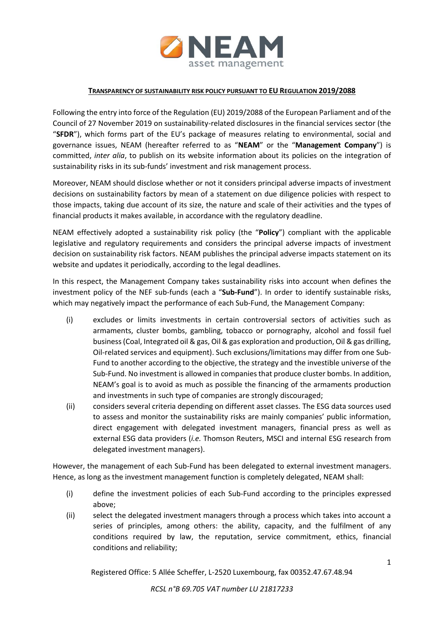

## **TRANSPARENCY OF SUSTAINABILITY RISK POLICY PURSUANT TO EU REGULATION 2019/2088**

Following the entry into force of the Regulation (EU) 2019/2088 of the European Parliament and of the Council of 27 November 2019 on sustainability-related disclosures in the financial services sector (the "**SFDR**"), which forms part of the EU's package of measures relating to environmental, social and governance issues, NEAM (hereafter referred to as "**NEAM**" or the "**Management Company**") is committed, *inter alia*, to publish on its website information about its policies on the integration of sustainability risks in its sub-funds' investment and risk management process.

Moreover, NEAM should disclose whether or not it considers principal adverse impacts of investment decisions on sustainability factors by mean of a statement on due diligence policies with respect to those impacts, taking due account of its size, the nature and scale of their activities and the types of financial products it makes available, in accordance with the regulatory deadline.

NEAM effectively adopted a sustainability risk policy (the "**Policy**") compliant with the applicable legislative and regulatory requirements and considers the principal adverse impacts of investment decision on sustainability risk factors. NEAM publishes the principal adverse impacts statement on its website and updates it periodically, according to the legal deadlines.

In this respect, the Management Company takes sustainability risks into account when defines the investment policy of the NEF sub-funds (each a "**Sub-Fund**"). In order to identify sustainable risks, which may negatively impact the performance of each Sub-Fund, the Management Company:

- (i) excludes or limits investments in certain controversial sectors of activities such as armaments, cluster bombs, gambling, tobacco or pornography, alcohol and fossil fuel business (Coal, Integrated oil & gas, Oil & gas exploration and production, Oil & gas drilling, Oil-related services and equipment). Such exclusions/limitations may differ from one Sub-Fund to another according to the objective, the strategy and the investible universe of the Sub-Fund. No investment is allowed in companies that produce cluster bombs. In addition, NEAM's goal is to avoid as much as possible the financing of the armaments production and investments in such type of companies are strongly discouraged;
- (ii) considers several criteria depending on different asset classes. The ESG data sources used to assess and monitor the sustainability risks are mainly companies' public information, direct engagement with delegated investment managers, financial press as well as external ESG data providers (*i.e.* Thomson Reuters, MSCI and internal ESG research from delegated investment managers).

However, the management of each Sub-Fund has been delegated to external investment managers. Hence, as long as the investment management function is completely delegated, NEAM shall:

- (i) define the investment policies of each Sub-Fund according to the principles expressed above;
- (ii) select the delegated investment managers through a process which takes into account a series of principles, among others: the ability, capacity, and the fulfilment of any conditions required by law, the reputation, service commitment, ethics, financial conditions and reliability;

Registered Office: 5 Allée Scheffer, L-2520 Luxembourg, fax 00352.47.67.48.94